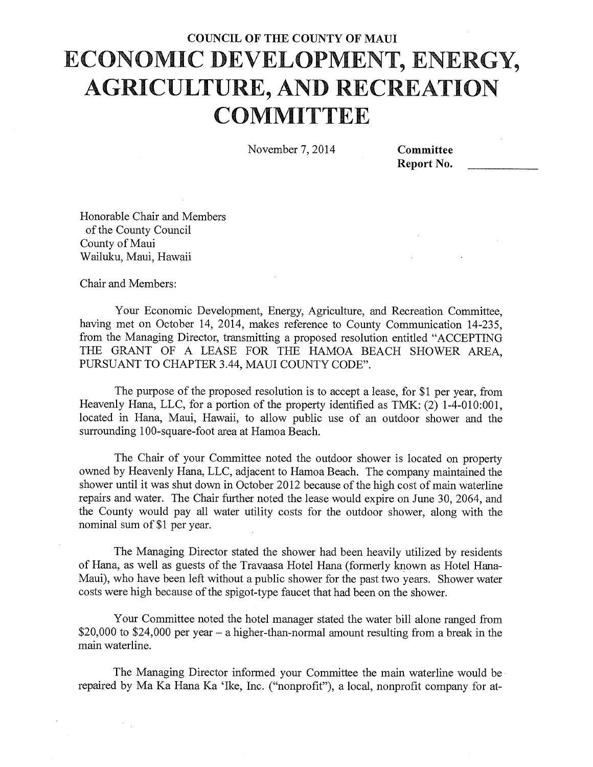## COUNCIL OF THE COUNTY OF MAUI **ECONOMIC DEVELOPMENT, ENERGY, AGRICULTURE, AND RECREATION COMMITTEE**

November 7, 2014 Committee

Report No.

Honorable Chair and Members of the County Council County of Maui Wailuku, Maui, Hawaii

Chair and Members:

 $\mathcal{F}_{\mathcal{A},\mathcal{B}}$ 

Your Economic Development, Energy, Agriculture, and Recreation Committee, having met on October 14, 2014, makes reference to County Communication 14-235, from the Managing Director, transmitting a proposed resolution entitled "ACCEPTING THE GRANT OF A LEASE FOR THE HAMOA BEACH SHOWER AREA, PURSUANT TO CHAPTER 3.44, MAUI COUNTY CODE".

The purpose of the proposed resolution is to accept a lease, for \$1 per year, from Heavenly Hana, LLC, for a portion of the property identified as TMK: (2) 1-4-010:001, located in Hana, Maui, Hawaii, to allow public use of an outdoor shower and the surrounding 100-square-foot area at Hamoa Beach.

The Chair of your Committee noted the outdoor shower is located on property owned by Heavenly Hana, LLC, adjacent to Hamoa Beach. The company maintained the shower until it was shut down in October 2012 because of the high cost of main waterline repairs and water. The Chair further noted the lease would expire on June 30, 2064, and the County would pay all water utility costs for the outdoor shower, along with the nominal sum of \$1 per year.

The Managing Director stated the shower had been heavily utilized by residents of Hana, as well as guests of the Travaasa Hotel Hana (formerly known as Hotel Hana-Maui), who have been left without a public shower for the past two years. Shower water costs were high because of the spigot-type faucet that had been on the shower.

Your Committee noted the hotel manager stated the water bill alone ranged from \$20,000 to \$24,000 per year — a higher-than-normal amount resulting from a break in the main waterline.

The Managing Director informed your Committee the main waterline would be repaired by Ma Ka Hana Ka 'Ike, Inc. ("nonprofit"), a local, nonprofit company for at-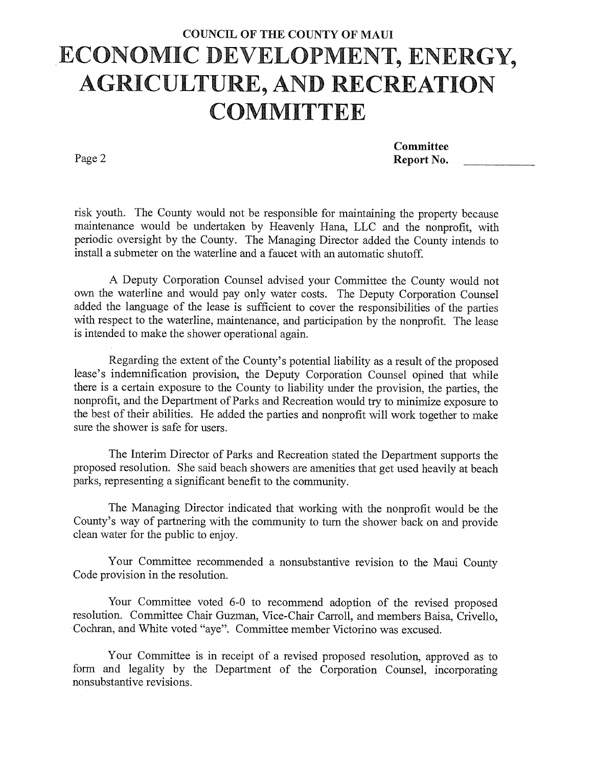## COUNCIL OF THE COUNTY OF MAUI **ECONOMIC DEVELOPMENT, ENERGY, AGRICULTURE, AND RECREATION COMMITTEE**

Page 2

**Committee** Report No.

risk youth. The County would not be responsible for maintaining the property because maintenance would be undertaken by Heavenly Hana, LLC and the nonprofit, with periodic oversight by the County. The Managing Director added the County intends to install a submeter on the waterline and a faucet with an automatic shutoff.

A Deputy Corporation Counsel advised your Committee the County would not own the waterline and would pay only water costs. The Deputy Corporation Counsel added the language of the lease is sufficient to cover the responsibilities of the parties with respect to the waterline, maintenance, and participation by the nonprofit. The lease is intended to make the shower operational again.

Regarding the extent of the County's potential liability as a result of the proposed lease's indemnification provision, the Deputy Corporation Counsel opined that while there is a certain exposure to the County to liability under the provision, the parties, the nonprofit, and the Department of Parks and Recreation would try to minimize exposure to the best of their abilities. He added the parties and nonprofit will work together to make sure the shower is safe for users.

The Interim Director of Parks and Recreation stated the Department supports the proposed resolution. She said beach showers are amenities that get used heavily at beach parks, representing a significant benefit to the community.

The Managing Director indicated that working with the nonprofit would be the County's way of partnering with the community to turn the shower back on and provide clean water for the public to enjoy.

Your Committee recommended a nonsubstantive revision to the Maui County Code provision in the resolution.

Your Committee voted 6-0 to recommend adoption of the revised proposed resolution. Committee Chair Guzman, Vice-Chair Carroll, and members Baisa, Crivello, Cochran, and White voted "aye". Committee member Victorino was excused.

Your Committee is in receipt of a revised proposed resolution, approved as to form and legality by the Department of the Corporation Counsel, incorporating nonsubstantive revisions.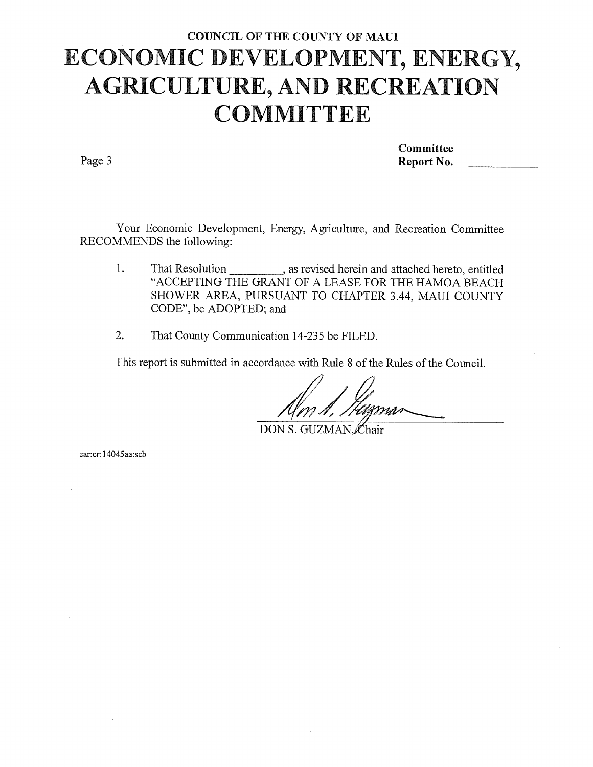## COUNCIL OF THE COUNTY OF MAUI **ECONOMIC DEVELOPMENT, ENERGY, AGRICULTURE, AND RECREATION COMMITTEE**

Page 3

Committee Report No.

Your Economic Development, Energy, Agriculture, and Recreation Committee RECOMMENDS the following:

- 1. That Resolution \_\_\_\_\_\_\_\_\_\_\_\_, as revised herein and attached hereto, entitled "ACCEPTING THE GRANT OF A LEASE FOR THE HAMOA BEACH SHOWER AREA, PURSUANT TO CHAPTER 3.44, MAUI COUNTY CODE", be ADOPTED; and
- 2. That County Communication 14-235 be FILED.

This report is submitted in accordance with Rule 8 of the Rules of the Council.

DON S. GUZMAN, Chair

ear:cr:14045aa:scb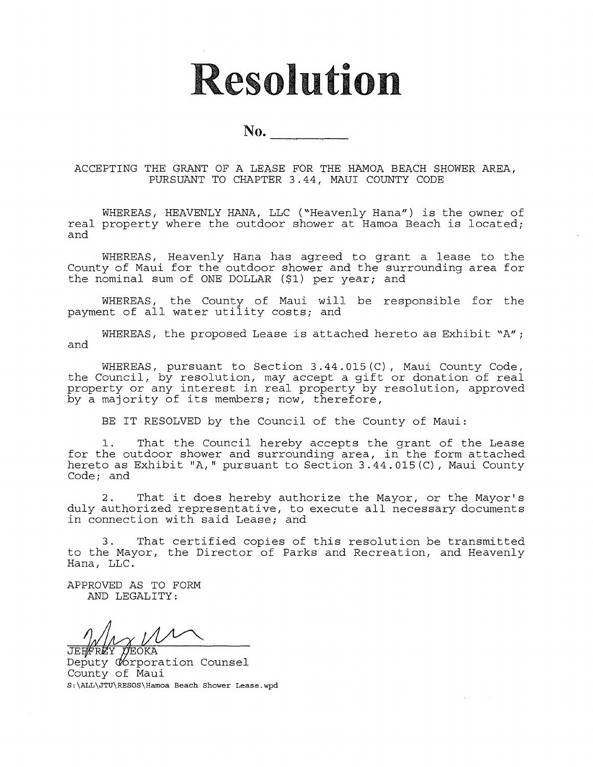# **Resolution**

No.

ACCEPTING THE GRANT OF A LEASE FOR THE HAMOA BEACH SHOWER AREA, PURSUANT TO CHAPTER 3.44, MAUI COUNTY CODE

WHEREAS, HEAVENLY HANA, LLC ("Heavenly Hana") is the owner of real property where the outdoor shower at Hamoa Beach is located; and

WHEREAS, Heavenly Hana has agreed to grant a lease to the County of Maui for the outdoor shower and the surrounding area for the nominal sum of ONE DOLLAR (\$1) per year; and

WHEREAS, the County of Maui will be responsible for the payment of all water utility costs; and

WHEREAS, the proposed Lease is attached hereto as Exhibit "A"; and

WHEREAS, pursuant to Section 3.44.015(C), Maui County Code, the Council, by resolution, may accept a gift or donation of real property or any interest in real property by resolution, approved by a majority of its members; now, therefore,

BE IT RESOLVED by the Council of the County of Maui:

1. That the Council hereby accepts the grant of the Lease for the outdoor shower and surrounding area, in the form attached hereto as Exhibit "A," pursuant to Section 3.44.015(C), Maui County Code; and

2. That it does hereby authorize the Mayor, or the Mayor's duly authorized representative, to execute all necessary documents in connection with said Lease; and

3. That certified copies of this resolution be transmitted to the Mayor, the Director of Parks and Recreation, and Heavenly Hana, LLC.

 $\Delta \sim 10^{-11}$ 

APPROVED AS TO FORM AND LEGALITY:

**JEOKA** Deputy Corporation Counsel County of Maui S:\ALL\JTU\RESOS\Hamoa Beach Shower Lease.wpd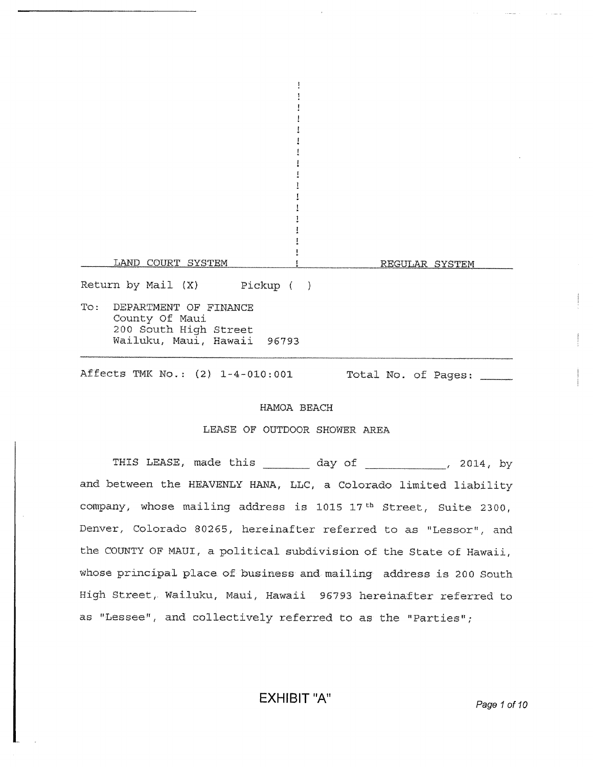Ţ 1 Ţ Ţ  $\mathbf{1}$ LAND COURT SYSTEM 1 REGULAR SYSTEM Return by Mail (X) Pickup ( ) To: DEPARTMENT OF FINANCE County Of Maui 200 South High Street Wailuku, Maui, Hawaii 96793 Affects TMK No.: (2) 1-4-010:001 Total No. of Pages:

 $\mathbf{I}$  $\pmb{\cdot}$ 

Ţ

#### HAMOA BEACH

#### LEASE OF OUTDOOR SHOWER AREA

THIS LEASE, made this day of 12014, by and between the HEAVENLY HANA, LLC, a Colorado limited liability company, whose mailing address is 1015  $17$ <sup>th</sup> Street, Suite 2300, Denver, Colorado 80265, hereinafter referred to as "Lessor", and the COUNTY OF MAUI, a political subdivision of the State of Hawaii, whose principal place of business and mailing address is 200 South High Street, Wailuku, Maui, Hawaii 96793 hereinafter referred to as "Lessee", and collectively referred to as the "Parties";

EXHIBIT "A" Page 1 of 10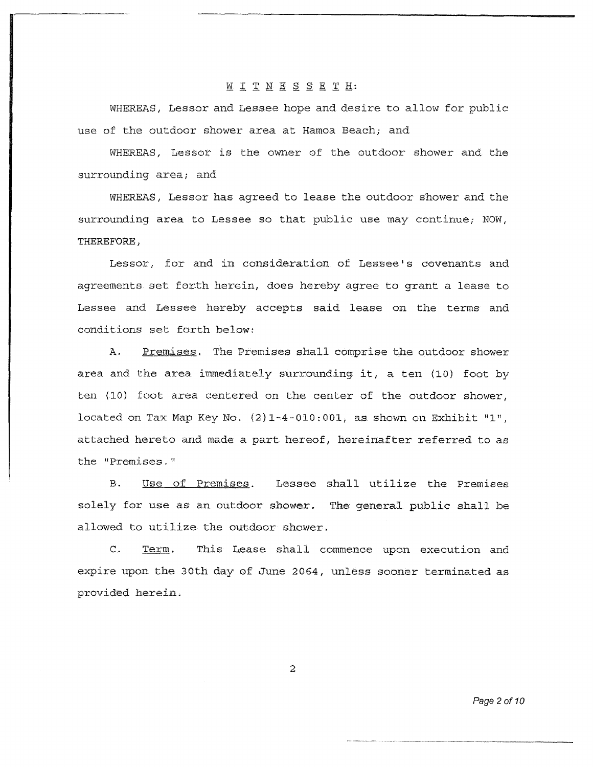#### W I T N E S S E T H:

WHEREAS, Lessor and Lessee hope and desire to allow for public use of the outdoor shower area at Hamoa Beach; and

WHEREAS, Lessor is the owner of the outdoor shower and the surrounding area; and

WHEREAS, Lessor has agreed to lease the outdoor shower and the surrounding area to Lessee so that public use may continue; NOW, THEREFORE,

Lessor, for and in consideration of Lessee's covenants and agreements set forth herein, does hereby agree to grant a lease to Lessee and Lessee hereby accepts said lease on the terms and conditions set forth below:

A. Premises. The Premises shall comprise the outdoor shower area and the area immediately surrounding it, a ten (10) foot by ten (10) foot area centered on the center of the outdoor shower, located on Tax Map Key No. (2)1-4-010:001, as shown on Exhibit "1", attached hereto and made a part hereof, hereinafter referred to as the "Premises."

B. Use of Premises. Lessee shall utilize the Premises solely for use as an outdoor shower. The general public shall be allowed to utilize the outdoor shower.

C. Term. This Lease shall commence upon execution and expire upon the 30th day of June 2064, unless sooner terminated as provided herein.

2

*Page 2 of 10*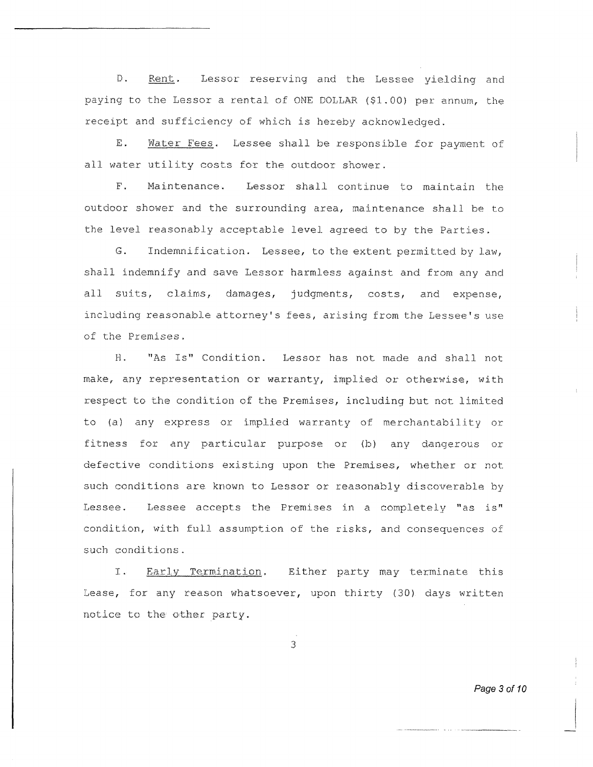D. Rent. Lessor reserving and the Lessee yielding and paying to the Lessor a rental of ONE DOLLAR (\$1.00) per annum, the receipt and sufficiency of which is hereby acknowledged.

E. Water Fees. Lessee shall be responsible for payment of all water utility costs for the outdoor shower.

F. Maintenance. Lessor shall continue to maintain the outdoor shower and the surrounding area, maintenance shall be to the level reasonably acceptable level agreed to by the Parties.

G. Indemnification. Lessee, to the extent permitted by law, shall indemnify and save Lessor harmless against and from any and all suits, claims, damages, judgments, costs, and expense, including reasonable attorney's fees, arising from the Lessee's use of the Premises.

H. "As Is" Condition. Lessor has not made and shall not make, any representation or warranty, implied *or* otherwise, with respect to the condition of the Premises, including but not limited to (a) any express or implied warranty of merchantability or fitness for any particular purpose or (b) any dangerous or defective conditions existing upon the Premises, Whether or not such conditions are known to Lessor or reasonably discoverable by Lessee. Lessee accepts the Premises in a completely "as is" condition, with full assumption of the risks, and consequences of such conditions.

I. Early Termination. Either party may terminate this Lease, for any reason whatsoever, upon thirty (30) days written notice to the other party.

3

*Page 3 of 10*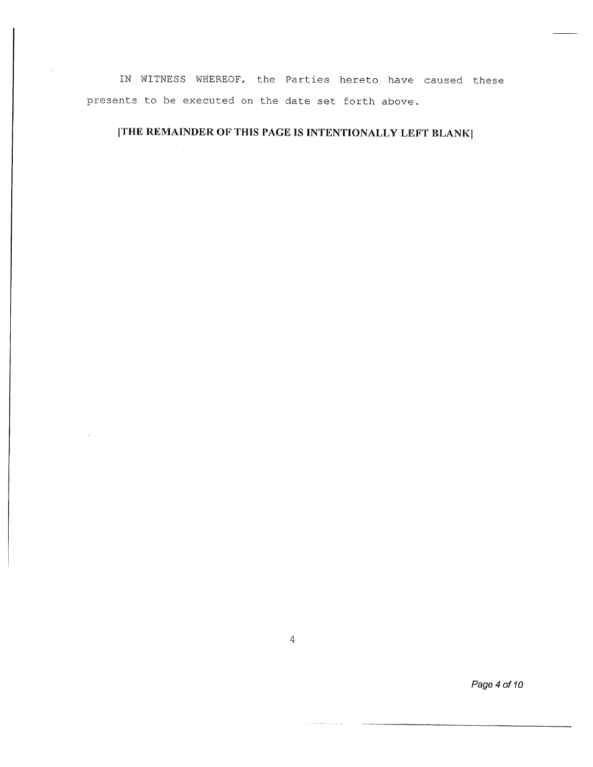IN WITNESS WHEREOF, the Parties hereto have caused these presents to be executed on the date set forth above.

### [THE REMAINDER OF THIS PAGE IS INTENTIONALLY LEFT BLANK]

4

*Page 4 of 10*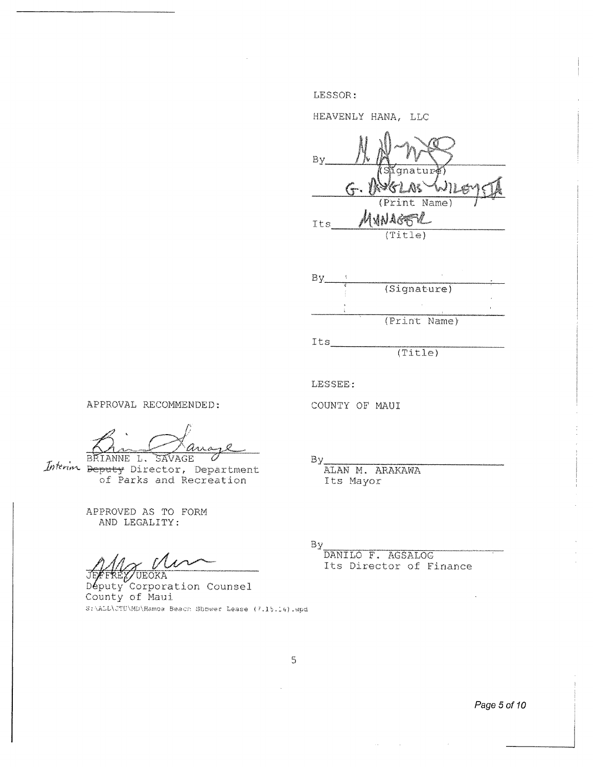LESSOR:

HEAVENLY HANA, LLC

By qnatur **UVIVYGE** 4 Its  $(Title)$ 



 $(Title)$ 

LESSEE-:

COUNTY OF MAUI

APPROVAL RECOMMENDED:

s and BRIANNE L. SAVAGE

Interim Beputy Director, Department of Parks and Recreation

APPROVED AS TO FORM. AND LEGALITY:

JE 'UEOKA

 $D$ *eputy* Corporation Counsel County of Maui S:\ALL\JTU\MD\Hamoa Beach Shower Lease (7.15.14).wpd

By

ALAN M. ARAKAWA Its Mayor

By

DANILO F. AGSALOG Its Director of Finance

 $\sim 10^7$ 

 $\mathbb{S}$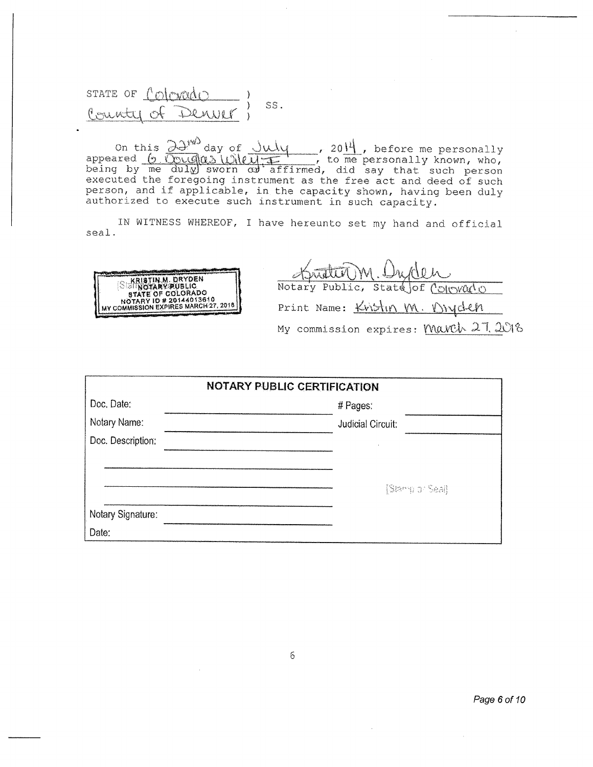STATE OF Colorado SS. Denver Poninti of

On this  $\frac{\partial \mathcal{Y}^{w0}}{\partial xy \partial xy \partial f}$  of  $\frac{\partial u1\partial y}{\partial x}$ , before me personally appeared  $\frac{6 \sqrt{2} \sqrt{9} (a_0 + b_0)}{20 + 1}$ , to me personally known, who, being by me duly) sworn  $\alpha$  affirmed, did say that such person executed the foregoing instrument as the free act and deed of such person, and if applicable, in the capacity shown, having been duly authorized to execute such instrument in such capacity.

seal. IN WITNESS WHEREOF, I have hereunto set my hand and official

ELARISTIN M. DRYDEN MOTARY PUBLIC, State Jof Colorado STATE OF COLORADO NOTARY PUBLIC, State Jof Colorado , My commission expires: March 27, 2018

| <b>NOTARY PUBLIC CERTIFICATION</b> |                   |  |
|------------------------------------|-------------------|--|
| Doc. Date:                         | # Pages:          |  |
| Notary Name:                       | Judicial Circuit: |  |
| Doc. Description:                  |                   |  |
|                                    |                   |  |
|                                    | [Stanglior Seal]  |  |
| Notary Signature:                  |                   |  |
| Date:                              |                   |  |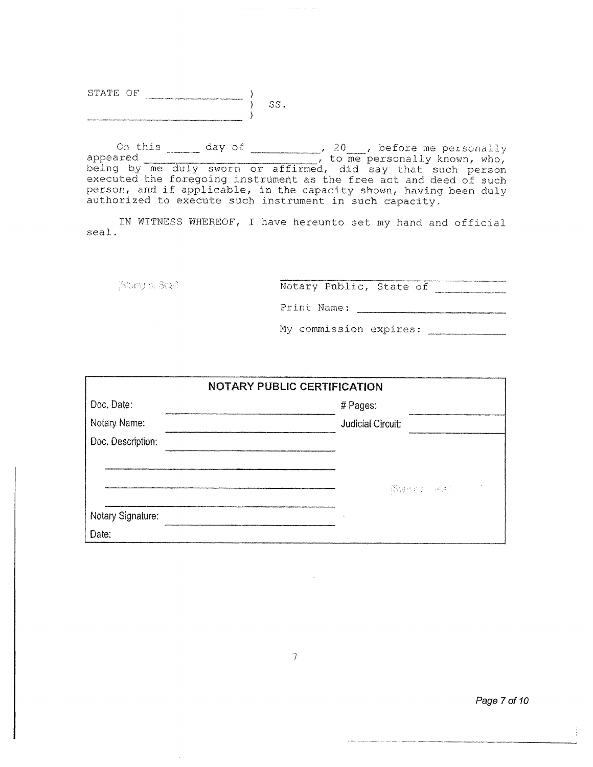| STATE | $\sim$ |  |  |
|-------|--------|--|--|
|       |        |  |  |
|       |        |  |  |

On this  $\frac{1}{\sqrt{20}}$  day of  $\frac{20}{\sqrt{20}}$ , before me personally appeared **example 20** appeared to me personally known, who, being by me duly sworn or affirmed, did say that such person executed the foregoing. instrument as the free act and deed of such person, and if applicable, in the capacity shown, having been duly authorized to execute such instrument in such capacity.

IN WITNESS WHEREOF, I have hereunto set my hand and official seal.

(Stang or Scal)

Notary Public, State of

Print Name:

My commission expires:

| NOTARY PUBLIC CERTIFICATION |                          |  |
|-----------------------------|--------------------------|--|
| Doc. Date:                  | # Pages:                 |  |
| Notary Name:                | <b>Judicial Circuit:</b> |  |
| Doc. Description:           |                          |  |
|                             |                          |  |
|                             | (Star o'closes)          |  |
| Notary Signature:           |                          |  |
| Date:                       |                          |  |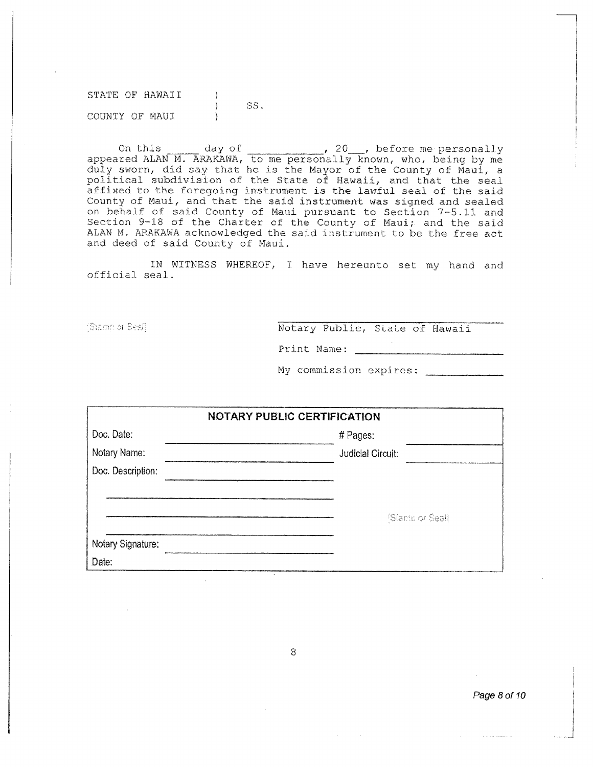STATE OF HAWAII  $\sum_{i=1}^{n}$ SS. COUNTY OF MAUI  $\lambda$ 

On this  $\frac{1}{20}$  day of  $\frac{1}{20}$ , before me personally appeared. ALAN M. ARAKAWA, to me personally known, who, being by me duly sworn, did. say that he is the Mayor of the County of Maui, a political. subdivision of the State of Hawaii, and that the seal affixed to the foregoing- instrument is the lawful seal of the said County of Maui, and that the said instrument was signed and sealed on behalf of said County of Maui. pursuant to Section 7-5.11 and Section 9-18 of the Charter of the County of Maui; and the said ALAN M. ARAKAWA acknowledged the said instrument to be the free act and deed of said County of Maui.

IN WITNESS WHEREOF, I have hereunto set my hand and official seal.

Sismo or Seeff

Notary Public, State of Hawaii

Print Name:

My commission expires:

| <b>NOTARY PUBLIC CERTIFICATION</b> |                          |  |
|------------------------------------|--------------------------|--|
| Doc. Date:                         | # Pages:                 |  |
| Notary Name:                       | <b>Judicial Circuit:</b> |  |
| Doc. Description:                  |                          |  |
|                                    |                          |  |
|                                    | [Stambler Seal]          |  |
|                                    |                          |  |
| Notary Signature:                  |                          |  |
| Date:                              |                          |  |

8

Page 8 of 10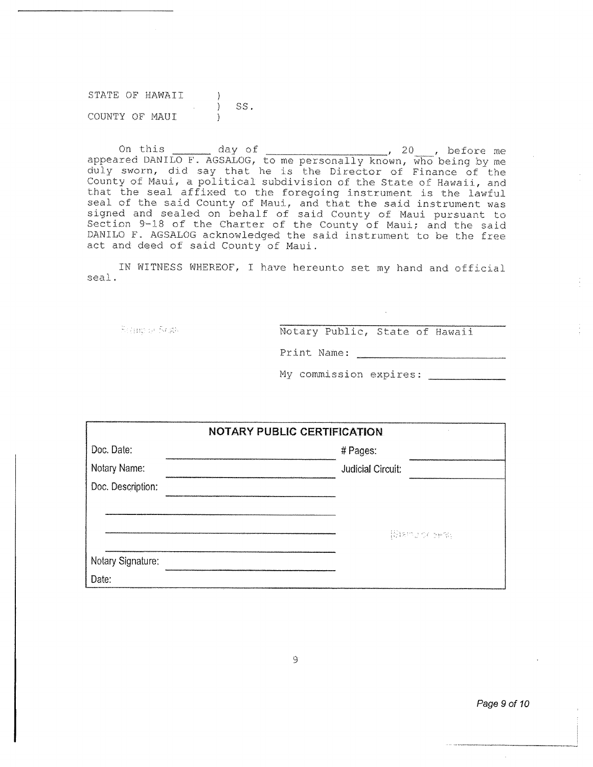STATE OF HAWAII. ) SS. COUNTY OF MAUI

On this  $\frac{1}{20}$  day of  $\frac{1}{20}$ , before me appeared DANILO F. AGSALOG, to me personally known, who being by me duly sworn, did say that he is the Director of Finance of the County of Maui, a political subdivision of the State of Hawaii, and that the Seal affixed to the foregoing instrument is the lawful seal of the said County of Maui, and that the said instrument was signed and sealed on behalf of said County of Maui pursuant to Section 9-18 of the Charter of the County of Maui; and the said DANILO F. AGSALOG acknowledged the said instrument to be the free act and deed of said County of Maui.

IN WITNESS WHEREOF, I have hereunto set my hand and official seal.

Remote Scale

Notary Public, State of Hawaii

Print Name:

My commission expires:

| <b>NOTARY PUBLIC CERTIFICATION</b> |                          |  |
|------------------------------------|--------------------------|--|
| Doc. Date:                         | # Pages:                 |  |
| Notary Name:                       | <b>Judicial Circuit:</b> |  |
| Doc. Description:                  |                          |  |
|                                    |                          |  |
|                                    | [Biamoror cera]          |  |
| Notary Signature:                  |                          |  |
| Date:                              |                          |  |

*Page 9 of 10*